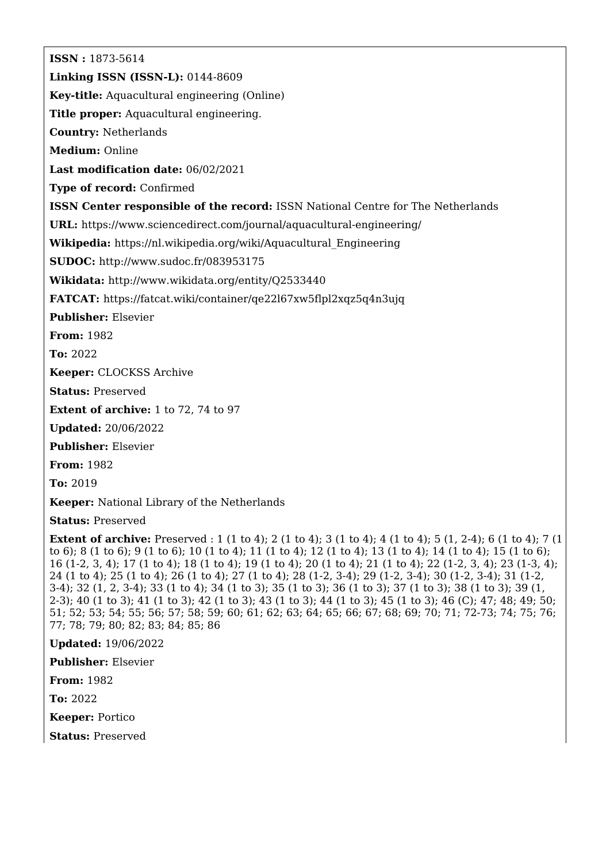**ISSN :** 1873-5614 **Linking ISSN (ISSN-L):** 0144-8609 **Key-title:** Aquacultural engineering (Online) **Title proper:** Aquacultural engineering. **Country:** Netherlands **Medium:** Online **Last modification date:** 06/02/2021 **Type of record:** Confirmed **ISSN Center responsible of the record:** ISSN National Centre for The Netherlands **URL:** <https://www.sciencedirect.com/journal/aquacultural-engineering/> **Wikipedia:** [https://nl.wikipedia.org/wiki/Aquacultural\\_Engineering](https://nl.wikipedia.org/wiki/Aquacultural_Engineering) **SUDOC:** <http://www.sudoc.fr/083953175> **Wikidata:** <http://www.wikidata.org/entity/Q2533440> **FATCAT:** <https://fatcat.wiki/container/qe22l67xw5flpl2xqz5q4n3ujq> **Publisher:** Elsevier **From:** 1982 **To:** 2022 **Keeper:** CLOCKSS Archive **Status:** Preserved **Extent of archive:** 1 to 72, 74 to 97 **Updated:** 20/06/2022 **Publisher:** Elsevier **From:** 1982 **To:** 2019 **Keeper:** National Library of the Netherlands **Status:** Preserved **Extent of archive:** Preserved : 1 (1 to 4); 2 (1 to 4); 3 (1 to 4); 4 (1 to 4); 5 (1, 2-4); 6 (1 to 4); 7 (1 to 6); 8 (1 to 6); 9 (1 to 6); 10 (1 to 4); 11 (1 to 4); 12 (1 to 4); 13 (1 to 4); 14 (1 to 4); 15 (1 to 6);

16 (1-2, 3, 4); 17 (1 to 4); 18 (1 to 4); 19 (1 to 4); 20 (1 to 4); 21 (1 to 4); 22 (1-2, 3, 4); 23 (1-3, 4); 24 (1 to 4); 25 (1 to 4); 26 (1 to 4); 27 (1 to 4); 28 (1-2, 3-4); 29 (1-2, 3-4); 30 (1-2, 3-4); 31 (1-2, 3-4); 32 (1, 2, 3-4); 33 (1 to 4); 34 (1 to 3); 35 (1 to 3); 36 (1 to 3); 37 (1 to 3); 38 (1 to 3); 39 (1, 2-3); 40 (1 to 3); 41 (1 to 3); 42 (1 to 3); 43 (1 to 3); 44 (1 to 3); 45 (1 to 3); 46 (C); 47; 48; 49; 50; 51; 52; 53; 54; 55; 56; 57; 58; 59; 60; 61; 62; 63; 64; 65; 66; 67; 68; 69; 70; 71; 72-73; 74; 75; 76; 77; 78; 79; 80; 82; 83; 84; 85; 86

**Updated:** 19/06/2022

**Publisher:** Elsevier

**From:** 1982

**To:** 2022

**Keeper:** Portico

**Status:** Preserved